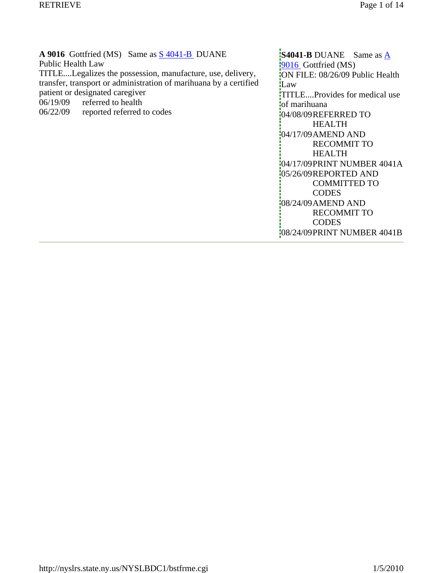A 9016 Gottfried (MS) Same as  $\frac{\text{S }4041 - \text{B}}{\text{D}}$  DUANE Public Health Law TITLE....Legalizes the possession, manufacture, use, delivery, transfer, transport or administration of marihuana by a certified

patient or designated caregiver

- 06/19/09 referred to health
- 06/22/09 reported referred to codes

**S4041-B** DUANE Same as  $\underline{A}$ 9016 Gottfried (MS) ON FILE: 08/26/09 Public Health **L**aw TITLE....Provides for medical use of marihuana 04/08/09REFERRED TO HEALTH 04/17/09AMEND AND RECOMMIT TO HEALTH 04/17/09PRINT NUMBER 4041A 05/26/09REPORTED AND COMMITTED TO **CODES** 08/24/09AMEND AND RECOMMIT TO **CODES** 08/24/09PRINT NUMBER 4041B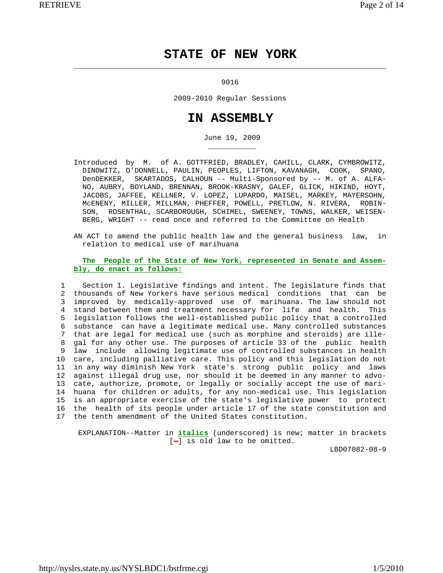# **STATE OF NEW YORK**

#### 9016

 $\overline{\phantom{a}}$  ,  $\overline{\phantom{a}}$  ,  $\overline{\phantom{a}}$  ,  $\overline{\phantom{a}}$  ,  $\overline{\phantom{a}}$  ,  $\overline{\phantom{a}}$  ,  $\overline{\phantom{a}}$  ,  $\overline{\phantom{a}}$  ,  $\overline{\phantom{a}}$  ,  $\overline{\phantom{a}}$  ,  $\overline{\phantom{a}}$  ,  $\overline{\phantom{a}}$  ,  $\overline{\phantom{a}}$  ,  $\overline{\phantom{a}}$  ,  $\overline{\phantom{a}}$  ,  $\overline{\phantom{a}}$ 

\_\_\_\_\_\_\_\_\_\_\_

2009-2010 Regular Sessions

## **IN ASSEMBLY**

June 19, 2009

- Introduced by M. of A. GOTTFRIED, BRADLEY, CAHILL, CLARK, CYMBROWITZ, DINOWITZ, O'DONNELL, PAULIN, PEOPLES, LIFTON, KAVANAGH, COOK, SPANO, DenDEKKER, SKARTADOS, CALHOUN -- Multi-Sponsored by -- M. of A. ALFA- NO, AUBRY, BOYLAND, BRENNAN, BROOK-KRASNY, GALEF, GLICK, HIKIND, HOYT, JACOBS, JAFFEE, KELLNER, V. LOPEZ, LUPARDO, MAISEL, MARKEY, MAYERSOHN, McENENY, MILLER, MILLMAN, PHEFFER, POWELL, PRETLOW, N. RIVERA, ROBIN- SON, ROSENTHAL, SCARBOROUGH, SCHIMEL, SWEENEY, TOWNS, WALKER, WEISEN- BERG, WRIGHT -- read once and referred to the Committee on Health
- AN ACT to amend the public health law and the general business law, in relation to medical use of marihuana

### **The People of the State of New York, represented in Senate and Assem bly, do enact as follows:**

 1 Section 1. Legislative findings and intent. The legislature finds that 2 thousands of New Yorkers have serious medical conditions that can be 3 improved by medically-approved use of marihuana. The law should not 4 stand between them and treatment necessary for life and health. This 5 legislation follows the well-established public policy that a controlled 6 substance can have a legitimate medical use. Many controlled substances 7 that are legal for medical use (such as morphine and steroids) are ille- 8 gal for any other use. The purposes of article 33 of the public health 9 law include allowing legitimate use of controlled substances in health 10 care, including palliative care. This policy and this legislation do not 11 in any way diminish New York state's strong public policy and laws 12 against illegal drug use, nor should it be deemed in any manner to advo- 13 cate, authorize, promote, or legally or socially accept the use of mari- 14 huana for children or adults, for any non-medical use. This legislation 15 is an appropriate exercise of the state's legislative power to protect 16 the health of its people under article 17 of the state constitution and 17 the tenth amendment of the United States constitution.

 EXPLANATION--Matter in **italics** (underscored) is new; matter in brackets  $[-]$  is old law to be omitted.

LBD07082-08-9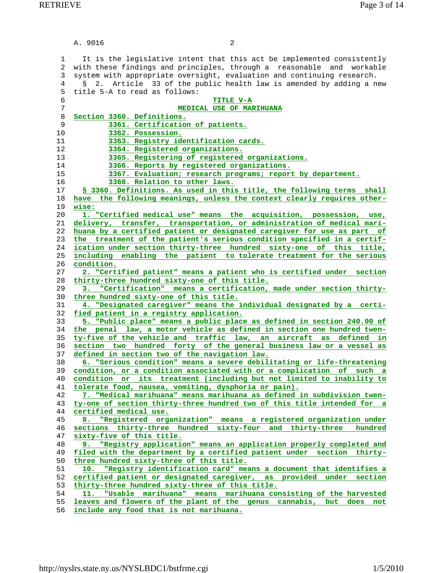A. 9016 2 1 It is the legislative intent that this act be implemented consistently 2 with these findings and principles, through a reasonable and workable 3 system with appropriate oversight, evaluation and continuing research. 4 § 2. Article 33 of the public health law is amended by adding a new 5 title 5-A to read as follows: **TITLE V-A MEDICAL USE OF MARIHUANA Section 3360. Definitions. 3361. Certification of patients. 3362. Possession. 3363. Registry identification cards. 3364. Registered organizations. 3365. Registering of registered organizations. 3366. Reports by registered organizations. 3367. Evaluation; research programs; report by department. 3368. Relation to other laws. § 3360. Definitions. As used in this title, the following terms shall have the following meanings, unless the context clearly requires other- wise: 1. "Certified medical use" means the acquisition, possession, use, delivery, transfer, transportation, or administration of medical mari- huana by a certified patient or designated caregiver for use as part of the treatment of the patient's serious condition specified in a certif- ication under section thirty-three hundred sixty-one of this title, including enabling the patient to tolerate treatment for the serious condition. 2. "Certified patient" means a patient who is certified under section thirty-three hundred sixty-one of this title. 3. "Certification" means a certification, made under section thirty- three hundred sixty-one of this title. 4. "Designated caregiver" means the individual designated by a certi- fied patient in a registry application. 5. "Public place" means a public place as defined in section 240.00 of the penal law, a motor vehicle as defined in section one hundred twen- ty-five of the vehicle and traffic law, an aircraft as defined in section two hundred forty of the general business law or a vessel as defined in section two of the navigation law. 6. "Serious condition" means a severe debilitating or life-threatening condition, or a condition associated with or a complication of such a condition or its treatment (including but not limited to inability to tolerate food, nausea, vomiting, dysphoria or pain). 7. "Medical marihuana" means marihuana as defined in subdivision twen- ty-one of section thirty-three hundred two of this title intended for a certified medical use. 8. "Registered organization" means a registered organization under sections thirty-three hundred sixty-four and thirty-three hundred sixty-five of this title. 9. "Registry application" means an application properly completed and filed with the department by a certified patient under section thirty- three hundred sixty-three of this title. 10. "Registry identification card" means a document that identifies a certified patient or designated caregiver, as provided under section thirty-three hundred sixty-three of this title. 11. "Usable marihuana" means marihuana consisting of the harvested leaves and flowers of the plant of the genus cannabis, but does not**

**include any food that is not marihuana.**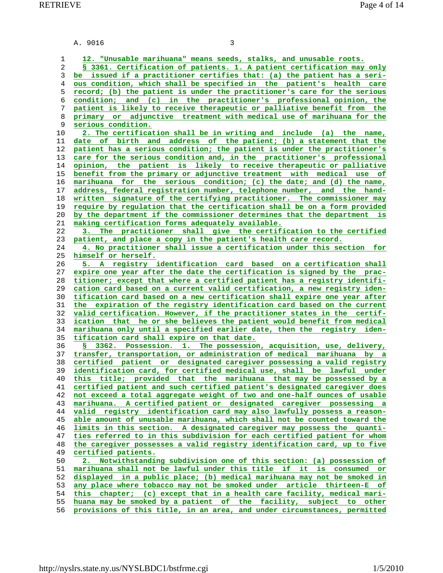|  | A. 9016<br>. |  |
|--|--------------|--|
|--|--------------|--|

**12. "Unusable marihuana" means seeds, stalks, and unusable roots. § 3361. Certification of patients. 1. A patient certification may only be issued if a practitioner certifies that: (a) the patient has a seri- ous condition, which shall be specified in the patient's health care record; (b) the patient is under the practitioner's care for the serious condition; and (c) in the practitioner's professional opinion, the patient is likely to receive therapeutic or palliative benefit from the primary or adjunctive treatment with medical use of marihuana for the serious condition. 2. The certification shall be in writing and include (a) the name, date of birth and address of the patient; (b) a statement that the patient has a serious condition; the patient is under the practitioner's care for the serious condition and, in the practitioner's professional opinion, the patient is likely to receive therapeutic or palliative benefit from the primary or adjunctive treatment with medical use of marihuana for the serious condition; (c) the date; and (d) the name, address, federal registration number, telephone number, and the hand- written signature of the certifying practitioner. The commissioner may require by regulation that the certification shall be on a form provided by the department if the commissioner determines that the department is making certification forms adequately available. 3. The practitioner shall give the certification to the certified patient, and place a copy in the patient's health care record. 4. No practitioner shall issue a certification under this section for himself or herself. 5. A registry identification card based on a certification shall expire one year after the date the certification is signed by the prac- titioner; except that where a certified patient has a registry identifi- cation card based on a current valid certification, a new registry iden- tification card based on a new certification shall expire one year after the expiration of the registry identification card based on the current valid certification. However, if the practitioner states in the certif- ication that he or she believes the patient would benefit from medical marihuana only until a specified earlier date, then the registry iden- tification card shall expire on that date. § 3362. Possession. 1. The possession, acquisition, use, delivery, transfer, transportation, or administration of medical marihuana by a certified patient or designated caregiver possessing a valid registry identification card, for certified medical use, shall be lawful under this title; provided that the marihuana that may be possessed by a certified patient and such certified patient's designated caregiver does not exceed a total aggregate weight of two and one-half ounces of usable marihuana. A certified patient or designated caregiver possessing a valid registry identification card may also lawfully possess a reason- able amount of unusable marihuana, which shall not be counted toward the limits in this section. A designated caregiver may possess the quanti- ties referred to in this subdivision for each certified patient for whom the caregiver possesses a valid registry identification card, up to five certified patients. 2. Notwithstanding subdivision one of this section: (a) possession of marihuana shall not be lawful under this title if it is consumed or displayed in a public place; (b) medical marihuana may not be smoked in any place where tobacco may not be smoked under article thirteen-E of this chapter; (c) except that in a health care facility, medical mari- huana may be smoked by a patient of the facility, subject to other provisions of this title, in an area, and under circumstances, permitted**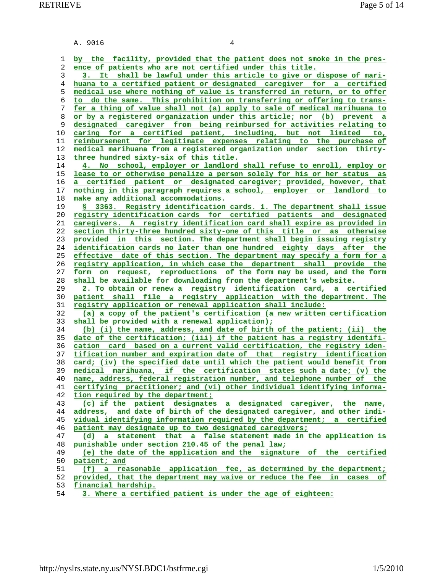A. 9016 4 **by the facility, provided that the patient does not smoke in the pres- ence of patients who are not certified under this title. 3. It shall be lawful under this article to give or dispose of mari- huana to a certified patient or designated caregiver for a certified medical use where nothing of value is transferred in return, or to offer to do the same. This prohibition on transferring or offering to trans- fer a thing of value shall not (a) apply to sale of medical marihuana to or by a registered organization under this article; nor (b) prevent a designated caregiver from being reimbursed for activities relating to caring for a certified patient, including, but not limited to, reimbursement for legitimate expenses relating to the purchase of medical marihuana from a registered organization under section thirty- three hundred sixty-six of this title. 4. No school, employer or landlord shall refuse to enroll, employ or lease to or otherwise penalize a person solely for his or her status as a certified patient or designated caregiver; provided, however, that nothing in this paragraph requires a school, employer or landlord to make any additional accommodations. § 3363. Registry identification cards. 1. The department shall issue registry identification cards for certified patients and designated caregivers. A registry identification card shall expire as provided in section thirty-three hundred sixty-one of this title or as otherwise provided in this section. The department shall begin issuing registry identification cards no later than one hundred eighty days after the effective date of this section. The department may specify a form for a registry application, in which case the department shall provide the form on request, reproductions of the form may be used, and the form shall be available for downloading from the department's website. 2. To obtain or renew a registry identification card, a certified patient shall file a registry application with the department. The registry application or renewal application shall include: (a) a copy of the patient's certification (a new written certification shall be provided with a renewal application); (b) (i) the name, address, and date of birth of the patient; (ii) the date of the certification; (iii) if the patient has a registry identifi- cation card based on a current valid certification, the registry iden- tification number and expiration date of that registry identification card; (iv) the specified date until which the patient would benefit from medical marihuana, if the certification states such a date; (v) the name, address, federal registration number, and telephone number of the certifying practitioner; and (vi) other individual identifying informa- tion required by the department; (c) if the patient designates a designated caregiver, the name, address, and date of birth of the designated caregiver, and other indi- vidual identifying information required by the department; a certified patient may designate up to two designated caregivers; (d) a statement that a false statement made in the application is punishable under section 210.45 of the penal law; (e) the date of the application and the signature of the certified patient; and (f) a reasonable application fee, as determined by the department; provided, that the department may waive or reduce the fee in cases of financial hardship.**

**3. Where a certified patient is under the age of eighteen:**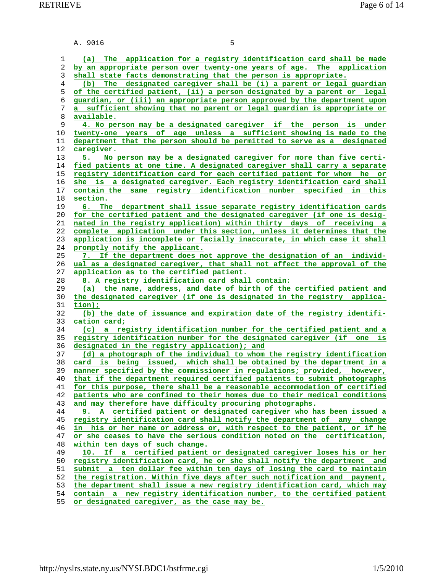A. 9016 5 **(a) The application for a registry identification card shall be made by an appropriate person over twenty-one years of age. The application shall state facts demonstrating that the person is appropriate. (b) The designated caregiver shall be (i) a parent or legal guardian of the certified patient, (ii) a person designated by a parent or legal guardian, or (iii) an appropriate person approved by the department upon a sufficient showing that no parent or legal guardian is appropriate or available. 4. No person may be a designated caregiver if the person is under twenty-one years of age unless a sufficient showing is made to the department that the person should be permitted to serve as a designated caregiver. 5. No person may be a designated caregiver for more than five certi- fied patients at one time. A designated caregiver shall carry a separate registry identification card for each certified patient for whom he or she is a designated caregiver. Each registry identification card shall contain the same registry identification number specified in this section. 6. The department shall issue separate registry identification cards for the certified patient and the designated caregiver (if one is desig- nated in the registry application) within thirty days of receiving a complete application under this section, unless it determines that the application is incomplete or facially inaccurate, in which case it shall promptly notify the applicant. 7. If the department does not approve the designation of an individ- ual as a designated caregiver, that shall not affect the approval of the application as to the certified patient. 8. A registry identification card shall contain: (a) the name, address, and date of birth of the certified patient and the designated caregiver (if one is designated in the registry applica- tion); (b) the date of issuance and expiration date of the registry identifi- cation card; (c) a registry identification number for the certified patient and a registry identification number for the designated caregiver (if one is designated in the registry application); and (d) a photograph of the individual to whom the registry identification card is being issued, which shall be obtained by the department in a manner specified by the commissioner in regulations; provided, however, that if the department required certified patients to submit photographs for this purpose, there shall be a reasonable accommodation of certified patients who are confined to their homes due to their medical conditions and may therefore have difficulty procuring photographs. 9. A certified patient or designated caregiver who has been issued a registry identification card shall notify the department of any change in his or her name or address or, with respect to the patient, or if he or she ceases to have the serious condition noted on the certification, within ten days of such change. 10. If a certified patient or designated caregiver loses his or her registry identification card, he or she shall notify the department and submit a ten dollar fee within ten days of losing the card to maintain the registration. Within five days after such notification and payment, the department shall issue a new registry identification card, which may contain a new registry identification number, to the certified patient**

**or designated caregiver, as the case may be.**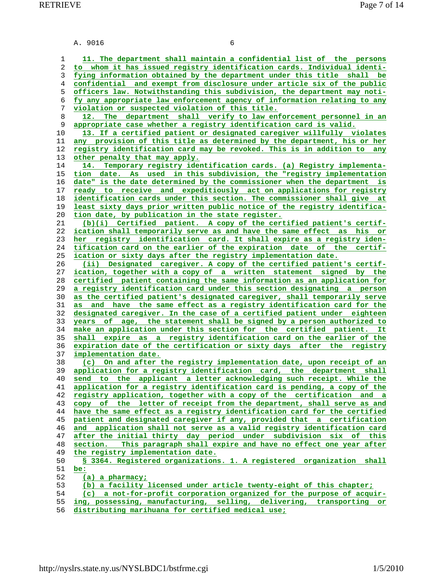A. 9016 6

**11. The department shall maintain a confidential list of the persons to whom it has issued registry identification cards. Individual identi- fying information obtained by the department under this title shall be confidential and exempt from disclosure under article six of the public officers law. Notwithstanding this subdivision, the department may noti- fy any appropriate law enforcement agency of information relating to any violation or suspected violation of this title. 12. The department shall verify to law enforcement personnel in an appropriate case whether a registry identification card is valid. 13. If a certified patient or designated caregiver willfully violates any provision of this title as determined by the department, his or her registry identification card may be revoked. This is in addition to any other penalty that may apply. 14. Temporary registry identification cards. (a) Registry implementa- tion date. As used in this subdivision, the "registry implementation date" is the date determined by the commissioner when the department is ready to receive and expeditiously act on applications for registry identification cards under this section. The commissioner shall give at least sixty days prior written public notice of the registry identifica- tion date, by publication in the state register. (b)(i) Certified patient. A copy of the certified patient's certif- ication shall temporarily serve as and have the same effect as his or her registry identification card. It shall expire as a registry iden- tification card on the earlier of the expiration date of the certif- ication or sixty days after the registry implementation date. (ii) Designated caregiver. A copy of the certified patient's certif- ication, together with a copy of a written statement signed by the certified patient containing the same information as an application for a registry identification card under this section designating a person as the certified patient's designated caregiver, shall temporarily serve as and have the same effect as a registry identification card for the designated caregiver. In the case of a certified patient under eighteen years of age, the statement shall be signed by a person authorized to make an application under this section for the certified patient. It shall expire as a registry identification card on the earlier of the expiration date of the certification or sixty days after the registry implementation date. (c) On and after the registry implementation date, upon receipt of an application for a registry identification card, the department shall send to the applicant a letter acknowledging such receipt. While the application for a registry identification card is pending, a copy of the registry application, together with a copy of the certification and a copy of the letter of receipt from the department, shall serve as and have the same effect as a registry identification card for the certified patient and designated caregiver if any, provided that a certification and application shall not serve as a valid registry identification card after the initial thirty day period under subdivision six of this section. This paragraph shall expire and have no effect one year after the registry implementation date. § 3364. Registered organizations. 1. A registered organization shall be: (a) a pharmacy; (b) a facility licensed under article twenty-eight of this chapter; (c) a not-for-profit corporation organized for the purpose of acquir- ing, possessing, manufacturing, selling, delivering, transporting or**

**distributing marihuana for certified medical use;**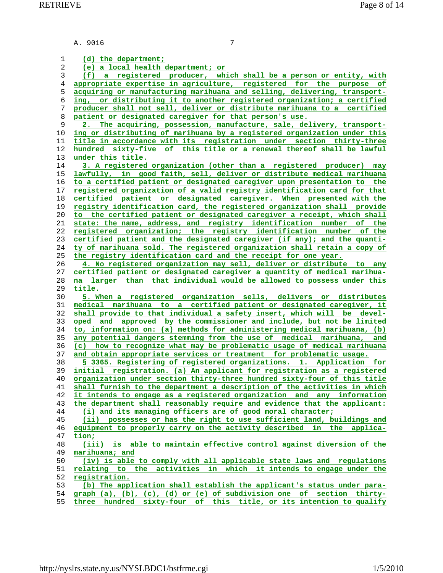A. 9016 7

**(d) the department; (e) a local health department; or (f) a registered producer, which shall be a person or entity, with appropriate expertise in agriculture, registered for the purpose of acquiring or manufacturing marihuana and selling, delivering, transport- ing, or distributing it to another registered organization; a certified producer shall not sell, deliver or distribute marihuana to a certified patient or designated caregiver for that person's use. 2. The acquiring, possession, manufacture, sale, delivery, transport- ing or distributing of marihuana by a registered organization under this title in accordance with its registration under section thirty-three hundred sixty-five of this title or a renewal thereof shall be lawful under this title. 3. A registered organization (other than a registered producer) may lawfully, in good faith, sell, deliver or distribute medical marihuana to a certified patient or designated caregiver upon presentation to the registered organization of a valid registry identification card for that certified patient or designated caregiver. When presented with the registry identification card, the registered organization shall provide to the certified patient or designated caregiver a receipt, which shall state: the name, address, and registry identification number of the registered organization; the registry identification number of the certified patient and the designated caregiver (if any); and the quanti- ty of marihuana sold. The registered organization shall retain a copy of the registry identification card and the receipt for one year. 4. No registered organization may sell, deliver or distribute to any certified patient or designated caregiver a quantity of medical marihua- na larger than that individual would be allowed to possess under this title. 5. When a registered organization sells, delivers or distributes medical marihuana to a certified patient or designated caregiver, it shall provide to that individual a safety insert, which will be devel- oped and approved by the commissioner and include, but not be limited to, information on: (a) methods for administering medical marihuana, (b) any potential dangers stemming from the use of medical marihuana, and (c) how to recognize what may be problematic usage of medical marihuana and obtain appropriate services or treatment for problematic usage. § 3365. Registering of registered organizations. 1. Application for initial registration. (a) An applicant for registration as a registered organization under section thirty-three hundred sixty-four of this title shall furnish to the department a description of the activities in which it intends to engage as a registered organization and any information the department shall reasonably require and evidence that the applicant: (i) and its managing officers are of good moral character; (ii) possesses or has the right to use sufficient land, buildings and equipment to properly carry on the activity described in the applica- tion; (iii) is able to maintain effective control against diversion of the marihuana; and (iv) is able to comply with all applicable state laws and regulations relating to the activities in which it intends to engage under the registration. (b) The application shall establish the applicant's status under para- graph (a), (b), (c), (d) or (e) of subdivision one of section thirty- three hundred sixty-four of this title, or its intention to qualify**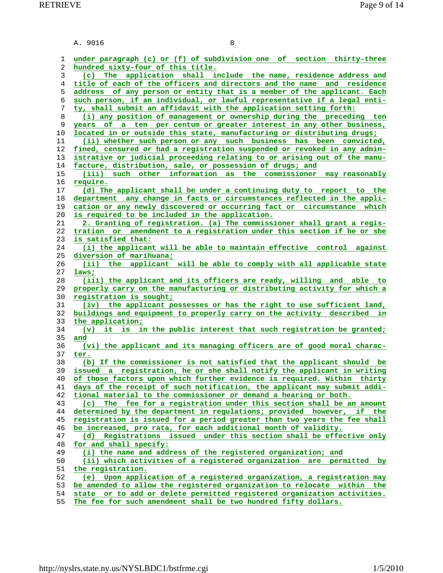|          | A. 9016<br>8                                                                                                                                        |
|----------|-----------------------------------------------------------------------------------------------------------------------------------------------------|
|          |                                                                                                                                                     |
| 1        | under paragraph (c) or (f) of subdivision one of section thirty-three                                                                               |
| 2        | hundred sixty-four of this title.                                                                                                                   |
| 3        | (c) The application shall include the name, residence address and                                                                                   |
| 4        | title of each of the officers and directors and the name and residence                                                                              |
| 5        | address of any person or entity that is a member of the applicant. Each                                                                             |
| 6<br>7   | such person, if an individual, or lawful representative if a legal enti-<br>ty, shall submit an affidavit with the application setting forth:       |
| 8        | (i) any position of management or ownership during the preceding ten                                                                                |
| 9        | years of a ten per centum or greater interest in any other business,                                                                                |
| 10       | located in or outside this state, manufacturing or distributing drugs;                                                                              |
| 11       | (ii) whether such person or any such business has been convicted,                                                                                   |
| 12       | fined, censured or had a registration suspended or revoked in any admin-                                                                            |
| 13       | istrative or judicial proceeding relating to or arising out of the manu-                                                                            |
| 14       | facture, distribution, sale, or possession of drugs; and                                                                                            |
| 15       | (iii) such other information as the commissioner may reasonably                                                                                     |
| 16       | require.                                                                                                                                            |
| 17       | (d) The applicant shall be under a continuing duty to report to the                                                                                 |
| 18       | department any change in facts or circumstances reflected in the appli-                                                                             |
| 19       | cation or any newly discovered or occurring fact or circumstance which                                                                              |
| 20       | is required to be included in the application.                                                                                                      |
| 21       | 2. Granting of registration. (a) The commissioner shall grant a regis-                                                                              |
| 22       | tration or amendment to a registration under this section if he or she                                                                              |
| 23       | is satisfied that:                                                                                                                                  |
| 24       | (i) the applicant will be able to maintain effective control against                                                                                |
| 25       | diversion of marihuana;                                                                                                                             |
| 26       | (ii)<br>applicant will be able to comply with all applicable state<br>the                                                                           |
| 27       | laws;                                                                                                                                               |
| 28       | (iii) the applicant and its officers are ready, willing and able to                                                                                 |
| 29       | properly carry on the manufacturing or distributing activity for which a                                                                            |
| 30       | registration is sought;                                                                                                                             |
| 31       | (iv) the applicant possesses or has the right to use sufficient land,                                                                               |
| 32       | buildings and equipment to properly carry on the activity described in                                                                              |
| 33       | the application;                                                                                                                                    |
| 34       | it is in the public interest that such registration be granted;<br>$(\mathbf{v})$                                                                   |
| 35       | and                                                                                                                                                 |
| 36       | (vi) the applicant and its managing officers are of good moral charac-                                                                              |
| 37       | ter.                                                                                                                                                |
| 38       | (b) If the commissioner is not satisfied that the applicant should be                                                                               |
| 39<br>40 | issued a registration, he or she shall notify the applicant in writing                                                                              |
| 41       | of those factors upon which further evidence is required. Within thirty<br>days of the receipt of such notification, the applicant may submit addi- |
| 42       | tional material to the commissioner or demand a hearing or both.                                                                                    |
| 43       | fee for a registration under this section shall be an amount<br>(c)<br>The                                                                          |
| 44       | determined by the department in regulations; provided however, if the                                                                               |
| 45       | registration is issued for a period greater than two years the fee shall                                                                            |
| 46       | be increased, pro rata, for each additional month of validity.                                                                                      |
| 47       | (d) Registrations issued under this section shall be effective only                                                                                 |
| 48       | for and shall specify:                                                                                                                              |
| 49       | (i) the name and address of the registered organization; and                                                                                        |
| 50       | (ii) which activities of a registered organization are permitted by                                                                                 |
| 51       | the registration.                                                                                                                                   |
| 52       | Upon application of a registered organization, a registration may<br>(e)                                                                            |
| 53       | be amended to allow the registered organization to relocate within the                                                                              |
| 54       | state or to add or delete permitted registered organization activities.                                                                             |
|          |                                                                                                                                                     |

**The fee for such amendment shall be two hundred fifty dollars.**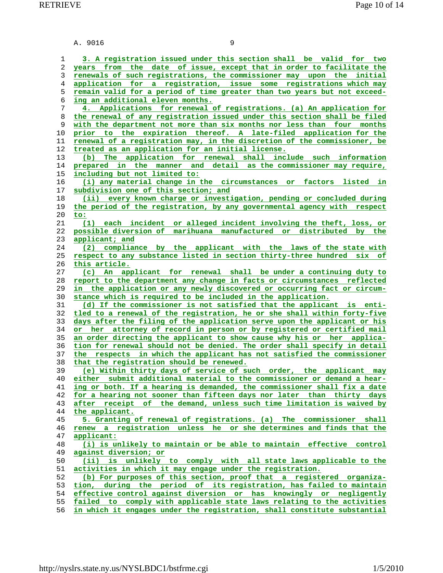A. 9016 9 **3. A registration issued under this section shall be valid for two years from the date of issue, except that in order to facilitate the renewals of such registrations, the commissioner may upon the initial application for a registration, issue some registrations which may remain valid for a period of time greater than two years but not exceed- ing an additional eleven months. 4. Applications for renewal of registrations. (a) An application for the renewal of any registration issued under this section shall be filed with the department not more than six months nor less than four months prior to the expiration thereof. A late-filed application for the renewal of a registration may, in the discretion of the commissioner, be treated as an application for an initial license. (b) The application for renewal shall include such information prepared in the manner and detail as the commissioner may require, including but not limited to: (i) any material change in the circumstances or factors listed in subdivision one of this section; and (ii) every known charge or investigation, pending or concluded during the period of the registration, by any governmental agency with respect to: (1) each incident or alleged incident involving the theft, loss, or possible diversion of marihuana manufactured or distributed by the applicant; and (2) compliance by the applicant with the laws of the state with respect to any substance listed in section thirty-three hundred six of this article. (c) An applicant for renewal shall be under a continuing duty to report to the department any change in facts or circumstances reflected in the application or any newly discovered or occurring fact or circum- stance which is required to be included in the application. (d) If the commissioner is not satisfied that the applicant is enti- tled to a renewal of the registration, he or she shall within forty-five days after the filing of the application serve upon the applicant or his or her attorney of record in person or by registered or certified mail an order directing the applicant to show cause why his or her applica- tion for renewal should not be denied. The order shall specify in detail the respects in which the applicant has not satisfied the commissioner that the registration should be renewed. (e) Within thirty days of service of such order, the applicant may either submit additional material to the commissioner or demand a hear- ing or both. If a hearing is demanded, the commissioner shall fix a date for a hearing not sooner than fifteen days nor later than thirty days after receipt of the demand, unless such time limitation is waived by the applicant. 5. Granting of renewal of registrations. (a) The commissioner shall renew a registration unless he or she determines and finds that the applicant: (i) is unlikely to maintain or be able to maintain effective control against diversion; or (ii) is unlikely to comply with all state laws applicable to the activities in which it may engage under the registration. (b) For purposes of this section, proof that a registered organiza- tion, during the period of its registration, has failed to maintain effective control against diversion or has knowingly or negligently failed to comply with applicable state laws relating to the activities**

**in which it engages under the registration, shall constitute substantial**

http://nyslrs.state.ny.us/NYSLBDC1/bstfrme.cgi 1/5/2010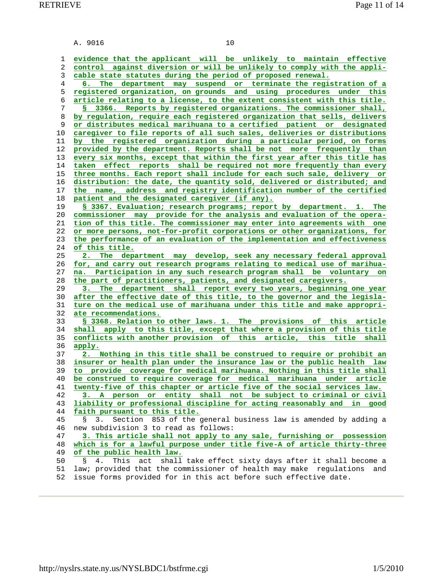A. 9016 10

**evidence that the applicant will be unlikely to maintain effective control against diversion or will be unlikely to comply with the appli- cable state statutes during the period of proposed renewal. 6. The department may suspend or terminate the registration of a registered organization, on grounds and using procedures under this article relating to a license, to the extent consistent with this title. § 3366. Reports by registered organizations. The commissioner shall, by regulation, require each registered organization that sells, delivers or distributes medical marihuana to a certified patient or designated caregiver to file reports of all such sales, deliveries or distributions by the registered organization during a particular period, on forms provided by the department. Reports shall be not more frequently than every six months, except that within the first year after this title has taken effect reports shall be required not more frequently than every three months. Each report shall include for each such sale, delivery or distribution: the date, the quantity sold, delivered or distributed; and the name, address and registry identification number of the certified patient and the designated caregiver (if any). § 3367. Evaluation; research programs; report by department. 1. The commissioner may provide for the analysis and evaluation of the opera- tion of this title. The commissioner may enter into agreements with one or more persons, not-for-profit corporations or other organizations, for the performance of an evaluation of the implementation and effectiveness of this title. 2. The department may develop, seek any necessary federal approval for, and carry out research programs relating to medical use of marihua- na. Participation in any such research program shall be voluntary on the part of practitioners, patients, and designated caregivers. 3. The department shall report every two years, beginning one year after the effective date of this title, to the governor and the legisla- ture on the medical use of marihuana under this title and make appropri- ate recommendations. § 3368. Relation to other laws. 1. The provisions of this article shall apply to this title, except that where a provision of this title conflicts with another provision of this article, this title shall apply. 2. Nothing in this title shall be construed to require or prohibit an insurer or health plan under the insurance law or the public health law to provide coverage for medical marihuana. Nothing in this title shall be construed to require coverage for medical marihuana under article twenty-five of this chapter or article five of the social services law. 3. A person or entity shall not be subject to criminal or civil liability or professional discipline for acting reasonably and in good faith pursuant to this title.** 45 § 3. Section 853 of the general business law is amended by adding a 46 new subdivision 3 to read as follows: **3. This article shall not apply to any sale, furnishing or possession which is for a lawful purpose under title five-A of article thirty-three of the public health law.** 50 § 4. This act shall take effect sixty days after it shall become a 51 law; provided that the commissioner of health may make regulations and 52 issue forms provided for in this act before such effective date.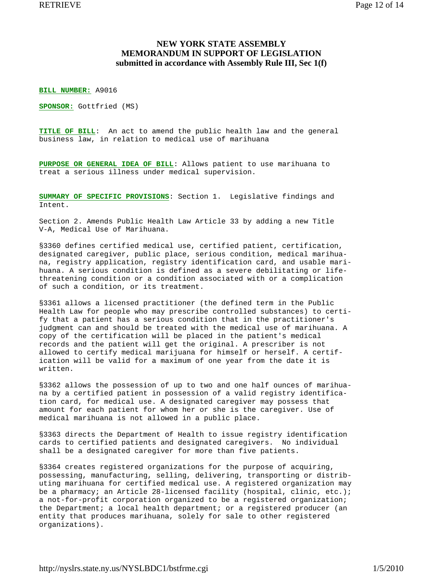## **NEW YORK STATE ASSEMBLY MEMORANDUM IN SUPPORT OF LEGISLATION submitted in accordance with Assembly Rule III, Sec 1(f)**

**BILL NUMBER:** A9016

**SPONSOR:** Gottfried (MS)

**TITLE OF BILL**: An act to amend the public health law and the general business law, in relation to medical use of marihuana

**PURPOSE OR GENERAL IDEA OF BILL**: Allows patient to use marihuana to treat a serious illness under medical supervision.

**SUMMARY OF SPECIFIC PROVISIONS**: Section 1. Legislative findings and Intent.

Section 2. Amends Public Health Law Article 33 by adding a new Title V-A, Medical Use of Marihuana.

§3360 defines certified medical use, certified patient, certification, designated caregiver, public place, serious condition, medical marihuana, registry application, registry identification card, and usable marihuana. A serious condition is defined as a severe debilitating or lifethreatening condition or a condition associated with or a complication of such a condition, or its treatment.

§3361 allows a licensed practitioner (the defined term in the Public Health Law for people who may prescribe controlled substances) to certify that a patient has a serious condition that in the practitioner's judgment can and should be treated with the medical use of marihuana. A copy of the certification will be placed in the patient's medical records and the patient will get the original. A prescriber is not allowed to certify medical marijuana for himself or herself. A certification will be valid for a maximum of one year from the date it is written.

§3362 allows the possession of up to two and one half ounces of marihuana by a certified patient in possession of a valid registry identification card, for medical use. A designated caregiver may possess that amount for each patient for whom her or she is the caregiver. Use of medical marihuana is not allowed in a public place.

§3363 directs the Department of Health to issue registry identification cards to certified patients and designated caregivers. No individual shall be a designated caregiver for more than five patients.

§3364 creates registered organizations for the purpose of acquiring, possessing, manufacturing, selling, delivering, transporting or distributing marihuana for certified medical use. A registered organization may be a pharmacy; an Article 28-licensed facility (hospital, clinic, etc.); a not-for-profit corporation organized to be a registered organization; the Department; a local health department; or a registered producer (an entity that produces marihuana, solely for sale to other registered organizations).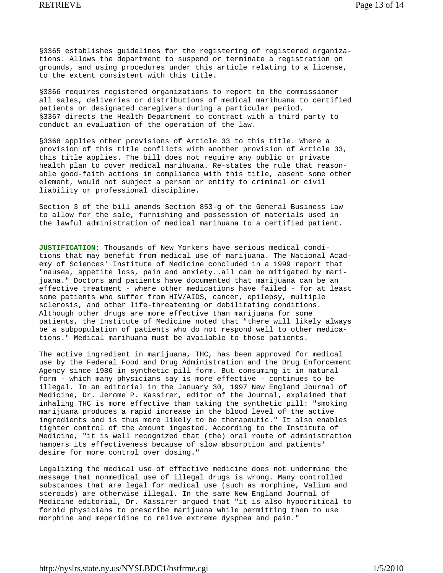§3365 establishes guidelines for the registering of registered organizations. Allows the department to suspend or terminate a registration on grounds, and using procedures under this article relating to a license, to the extent consistent with this title.

§3366 requires registered organizations to report to the commissioner all sales, deliveries or distributions of medical marihuana to certified patients or designated caregivers during a particular period. §3367 directs the Health Department to contract with a third party to conduct an evaluation of the operation of the law.

§3368 applies other provisions of Article 33 to this title. Where a provision of this title conflicts with another provision of Article 33, this title applies. The bill does not require any public or private health plan to cover medical marihuana. Re-states the rule that reasonable good-faith actions in compliance with this title, absent some other element, would not subject a person or entity to criminal or civil liability or professional discipline.

Section 3 of the bill amends Section 853-g of the General Business Law to allow for the sale, furnishing and possession of materials used in the lawful administration of medical marihuana to a certified patient.

**JUSTIFICATION**: Thousands of New Yorkers have serious medical conditions that may benefit from medical use of marijuana. The National Academy of Sciences' Institute of Medicine concluded in a 1999 report that "nausea, appetite loss, pain and anxiety..all can be mitigated by marijuana." Doctors and patients have documented that marijuana can be an effective treatment - where other medications have failed - for at least some patients who suffer from HIV/AIDS, cancer, epilepsy, multiple sclerosis, and other life-threatening or debilitating conditions. Although other drugs are more effective than marijuana for some patients, the Institute of Medicine noted that "there will likely always be a subpopulation of patients who do not respond well to other medications." Medical marihuana must be available to those patients.

The active ingredient in marijuana, THC, has been approved for medical use by the Federal Food and Drug Administration and the Drug Enforcement Agency since 1986 in synthetic pill form. But consuming it in natural form - which many physicians say is more effective - continues to be illegal. In an editorial in the January 30, 1997 New England Journal of Medicine, Dr. Jerome P. Kassirer, editor of the Journal, explained that inhaling THC is more effective than taking the synthetic pill: "smoking marijuana produces a rapid increase in the blood level of the active ingredients and is thus more likely to be therapeutic." It also enables tighter control of the amount ingested. According to the Institute of Medicine, "it is well recognized that (the) oral route of administration hampers its effectiveness because of slow absorption and patients' desire for more control over dosing."

Legalizing the medical use of effective medicine does not undermine the message that nonmedical use of illegal drugs is wrong. Many controlled substances that are legal for medical use (such as morphine, Valium and steroids) are otherwise illegal. In the same New England Journal of Medicine editorial, Dr. Kassirer argued that "it is also hypocritical to forbid physicians to prescribe marijuana while permitting them to use morphine and meperidine to relive extreme dyspnea and pain."